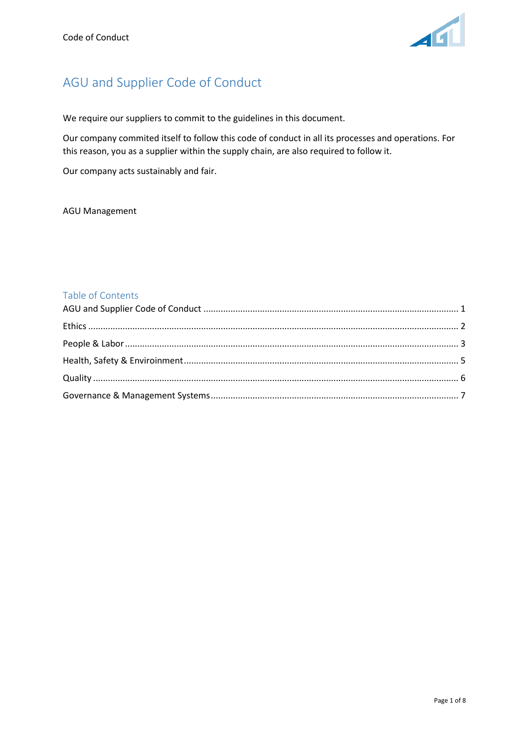

# <span id="page-0-0"></span>AGU and Supplier Code of Conduct

We require our suppliers to commit to the guidelines in this document.

Our company commited itself to follow this code of conduct in all its processes and operations. For this reason, you as a supplier within the supply chain, are also required to follow it.

Our company acts sustainably and fair.

AGU Management

# Table of Contents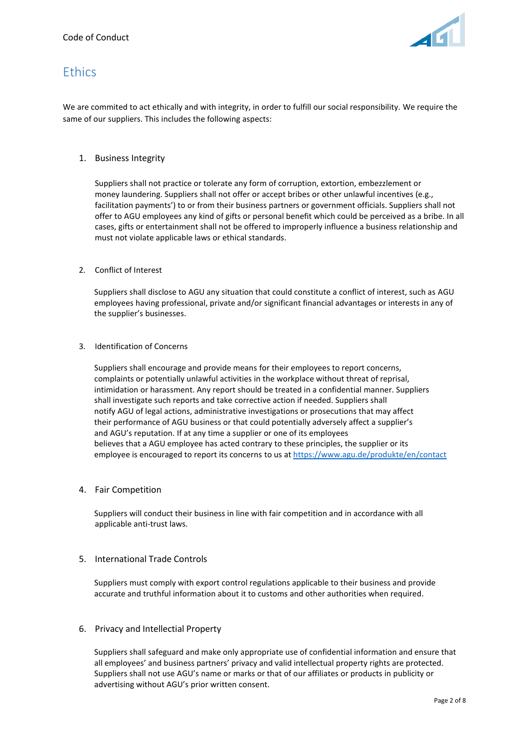

# <span id="page-1-0"></span>**Ethics**

We are commited to act ethically and with integrity, in order to fulfill our social responsibility. We require the same of our suppliers. This includes the following aspects:

# 1. Business Integrity

Suppliers shall not practice or tolerate any form of corruption, extortion, embezzlement or money laundering. Suppliers shall not offer or accept bribes or other unlawful incentives (e.g., facilitation payments') to or from their business partners or government officials. Suppliers shall not offer to AGU employees any kind of gifts or personal benefit which could be perceived as a bribe. In all cases, gifts or entertainment shall not be offered to improperly influence a business relationship and must not violate applicable laws or ethical standards.

### 2. Conflict of Interest

Suppliers shall disclose to AGU any situation that could constitute a conflict of interest, such as AGU employees having professional, private and/or significant financial advantages or interests in any of the supplier's businesses.

#### 3. Identification of Concerns

Suppliers shall encourage and provide means for their employees to report concerns, complaints or potentially unlawful activities in the workplace without threat of reprisal, intimidation or harassment. Any report should be treated in a confidential manner. Suppliers shall investigate such reports and take corrective action if needed. Suppliers shall notify AGU of legal actions, administrative investigations or prosecutions that may affect their performance of AGU business or that could potentially adversely affect a supplier's and AGU's reputation. If at any time a supplier or one of its employees believes that a AGU employee has acted contrary to these principles, the supplier or its employee is encouraged to report its concerns to us at<https://www.agu.de/produkte/en/contact>

### 4. Fair Competition

Suppliers will conduct their business in line with fair competition and in accordance with all applicable anti-trust laws.

### 5. International Trade Controls

Suppliers must comply with export control regulations applicable to their business and provide accurate and truthful information about it to customs and other authorities when required.

### 6. Privacy and Intellectial Property

Suppliers shall safeguard and make only appropriate use of confidential information and ensure that all employees' and business partners' privacy and valid intellectual property rights are protected. Suppliers shall not use AGU's name or marks or that of our affiliates or products in publicity or advertising without AGU's prior written consent.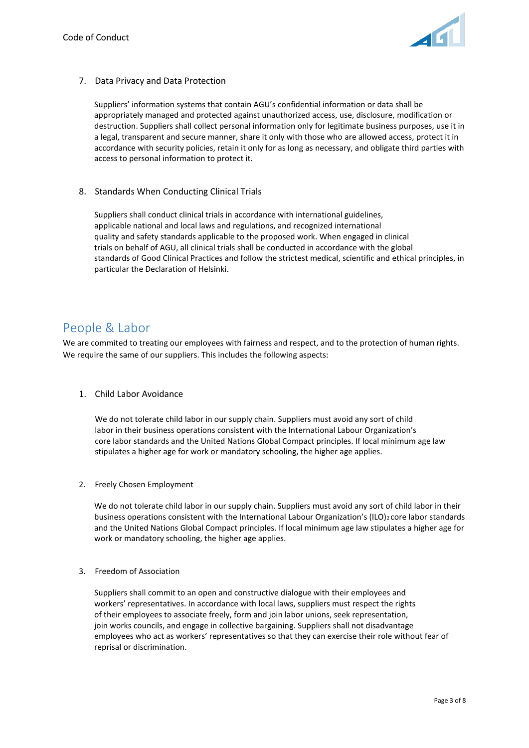

7. Data Privacy and Data Protection

Suppliers' information systems that contain AGU's confidential information or data shall be appropriately managed and protected against unauthorized access, use, disclosure, modification or destruction. Suppliers shall collect personal information only for legitimate business purposes, use it in a legal, transparent and secure manner, share it only with those who are allowed access, protect it in accordance with security policies, retain it only for as long as necessary, and obligate third parties with access to personal information to protect it.

8. Standards When Conducting Clinical Trials

Suppliers shall conduct clinical trials in accordance with international guidelines, applicable national and local laws and regulations, and recognized international quality and safety standards applicable to the proposed work. When engaged in clinical trials on behalf of AGU, all clinical trials shall be conducted in accordance with the global standards of Good Clinical Practices and follow the strictest medical, scientific and ethical principles, in particular the Declaration of Helsinki.

# <span id="page-2-0"></span>People & Labor

We are commited to treating our employees with fairness and respect, and to the protection of human rights. We require the same of our suppliers. This includes the following aspects:

1. Child Labor Avoidance

We do not tolerate child labor in our supply chain. Suppliers must avoid any sort of child labor in their business operations consistent with the International Labour Organization's core labor standards and the United Nations Global Compact principles. If local minimum age law stipulates a higher age for work or mandatory schooling, the higher age applies.

2. Freely Chosen Employment

We do not tolerate child labor in our supply chain. Suppliers must avoid any sort of child labor in their business operations consistent with the International Labour Organization's (ILO)<sub>2</sub> core labor standards and the United Nations Global Compact principles. If local minimum age law stipulates a higher age for work or mandatory schooling, the higher age applies.

3. Freedom of Association

Suppliers shall commit to an open and constructive dialogue with their employees and workers' representatives. In accordance with local laws, suppliers must respect the rights of their employees to associate freely, form and join labor unions, seek representation, join works councils, and engage in collective bargaining. Suppliers shall not disadvantage employees who act as workers' representatives so that they can exercise their role without fear of reprisal or discrimination.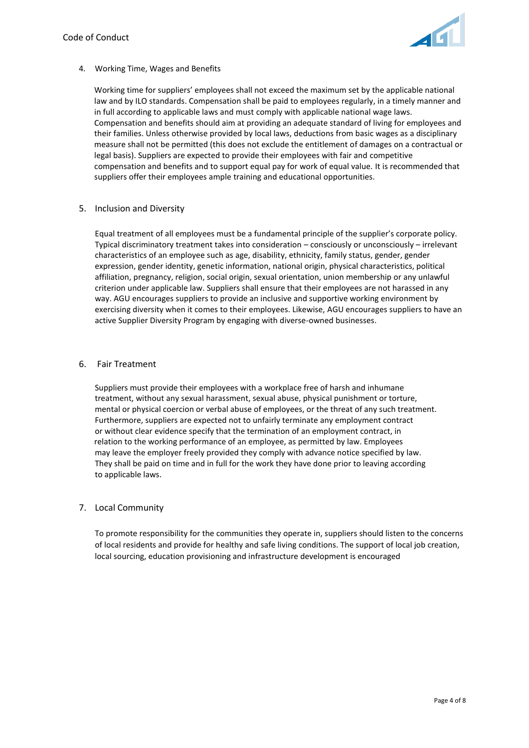

# 4. Working Time, Wages and Benefits

Working time for suppliers' employees shall not exceed the maximum set by the applicable national law and by ILO standards. Compensation shall be paid to employees regularly, in a timely manner and in full according to applicable laws and must comply with applicable national wage laws. Compensation and benefits should aim at providing an adequate standard of living for employees and their families. Unless otherwise provided by local laws, deductions from basic wages as a disciplinary measure shall not be permitted (this does not exclude the entitlement of damages on a contractual or legal basis). Suppliers are expected to provide their employees with fair and competitive compensation and benefits and to support equal pay for work of equal value. It is recommended that suppliers offer their employees ample training and educational opportunities.

# 5. Inclusion and Diversity

Equal treatment of all employees must be a fundamental principle of the supplier's corporate policy. Typical discriminatory treatment takes into consideration – consciously or unconsciously – irrelevant characteristics of an employee such as age, disability, ethnicity, family status, gender, gender expression, gender identity, genetic information, national origin, physical characteristics, political affiliation, pregnancy, religion, social origin, sexual orientation, union membership or any unlawful criterion under applicable law. Suppliers shall ensure that their employees are not harassed in any way. AGU encourages suppliers to provide an inclusive and supportive working environment by exercising diversity when it comes to their employees. Likewise, AGU encourages suppliers to have an active Supplier Diversity Program by engaging with diverse-owned businesses.

# 6. Fair Treatment

Suppliers must provide their employees with a workplace free of harsh and inhumane treatment, without any sexual harassment, sexual abuse, physical punishment or torture, mental or physical coercion or verbal abuse of employees, or the threat of any such treatment. Furthermore, suppliers are expected not to unfairly terminate any employment contract or without clear evidence specify that the termination of an employment contract, in relation to the working performance of an employee, as permitted by law. Employees may leave the employer freely provided they comply with advance notice specified by law. They shall be paid on time and in full for the work they have done prior to leaving according to applicable laws.

# 7. Local Community

To promote responsibility for the communities they operate in, suppliers should listen to the concerns of local residents and provide for healthy and safe living conditions. The support of local job creation, local sourcing, education provisioning and infrastructure development is encouraged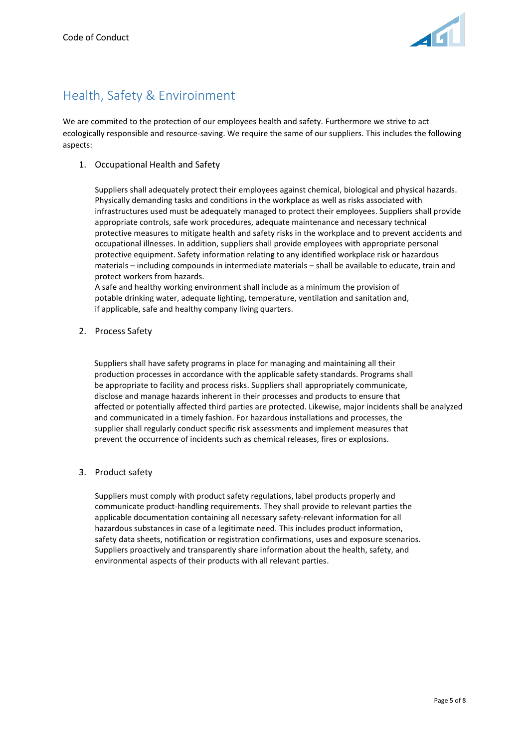

# <span id="page-4-0"></span>Health, Safety & Enviroinment

We are commited to the protection of our employees health and safety. Furthermore we strive to act ecologically responsible and resource-saving. We require the same of our suppliers. This includes the following aspects:

1. Occupational Health and Safety

Suppliers shall adequately protect their employees against chemical, biological and physical hazards. Physically demanding tasks and conditions in the workplace as well as risks associated with infrastructures used must be adequately managed to protect their employees. Suppliers shall provide appropriate controls, safe work procedures, adequate maintenance and necessary technical protective measures to mitigate health and safety risks in the workplace and to prevent accidents and occupational illnesses. In addition, suppliers shall provide employees with appropriate personal protective equipment. Safety information relating to any identified workplace risk or hazardous materials – including compounds in intermediate materials – shall be available to educate, train and protect workers from hazards.

A safe and healthy working environment shall include as a minimum the provision of potable drinking water, adequate lighting, temperature, ventilation and sanitation and, if applicable, safe and healthy company living quarters.

2. Process Safety

Suppliers shall have safety programs in place for managing and maintaining all their production processes in accordance with the applicable safety standards. Programs shall be appropriate to facility and process risks. Suppliers shall appropriately communicate, disclose and manage hazards inherent in their processes and products to ensure that affected or potentially affected third parties are protected. Likewise, major incidents shall be analyzed and communicated in a timely fashion. For hazardous installations and processes, the supplier shall regularly conduct specific risk assessments and implement measures that prevent the occurrence of incidents such as chemical releases, fires or explosions.

3. Product safety

<span id="page-4-1"></span>Suppliers must comply with product safety regulations, label products properly and communicate product-handling requirements. They shall provide to relevant parties the applicable documentation containing all necessary safety-relevant information for all hazardous substances in case of a legitimate need. This includes product information, safety data sheets, notification or registration confirmations, uses and exposure scenarios. Suppliers proactively and transparently share information about the health, safety, and environmental aspects of their products with all relevant parties.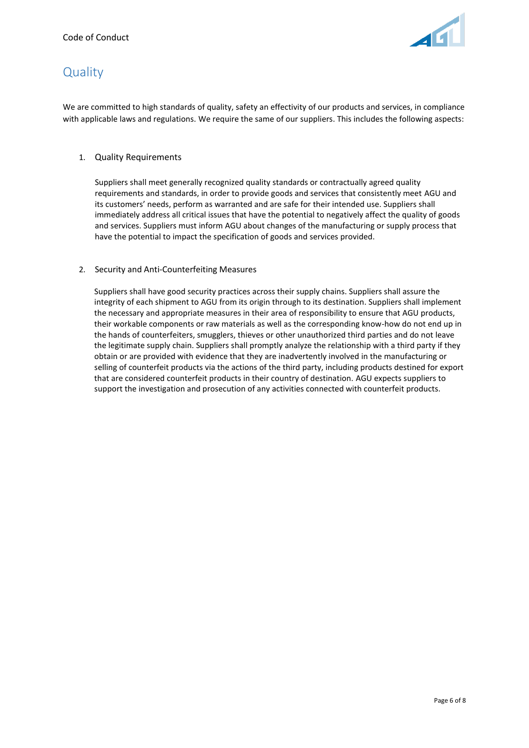

# **Quality**

We are committed to high standards of quality, safety an effectivity of our products and services, in compliance with applicable laws and regulations. We require the same of our suppliers. This includes the following aspects:

# 1. Quality Requirements

Suppliers shall meet generally recognized quality standards or contractually agreed quality requirements and standards, in order to provide goods and services that consistently meet AGU and its customers' needs, perform as warranted and are safe for their intended use. Suppliers shall immediately address all critical issues that have the potential to negatively affect the quality of goods and services. Suppliers must inform AGU about changes of the manufacturing or supply process that have the potential to impact the specification of goods and services provided.

# 2. Security and Anti-Counterfeiting Measures

Suppliers shall have good security practices across their supply chains. Suppliers shall assure the integrity of each shipment to AGU from its origin through to its destination. Suppliers shall implement the necessary and appropriate measures in their area of responsibility to ensure that AGU products, their workable components or raw materials as well as the corresponding know-how do not end up in the hands of counterfeiters, smugglers, thieves or other unauthorized third parties and do not leave the legitimate supply chain. Suppliers shall promptly analyze the relationship with a third party if they obtain or are provided with evidence that they are inadvertently involved in the manufacturing or selling of counterfeit products via the actions of the third party, including products destined for export that are considered counterfeit products in their country of destination. AGU expects suppliers to support the investigation and prosecution of any activities connected with counterfeit products.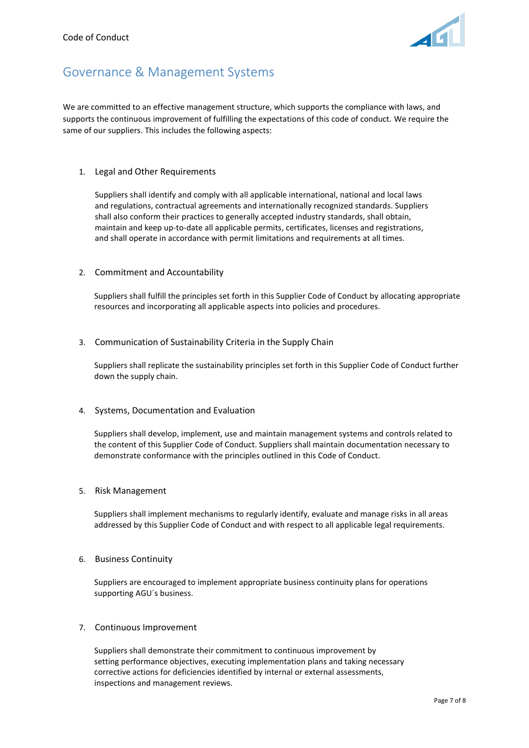

# <span id="page-6-0"></span>Governance & Management Systems

We are committed to an effective management structure, which supports the compliance with laws, and supports the continuous improvement of fulfilling the expectations of this code of conduct. We require the same of our suppliers. This includes the following aspects:

### 1. Legal and Other Requirements

Suppliers shall identify and comply with all applicable international, national and local laws and regulations, contractual agreements and internationally recognized standards. Suppliers shall also conform their practices to generally accepted industry standards, shall obtain, maintain and keep up-to-date all applicable permits, certificates, licenses and registrations, and shall operate in accordance with permit limitations and requirements at all times.

# 2. Commitment and Accountability

Suppliers shall fulfill the principles set forth in this Supplier Code of Conduct by allocating appropriate resources and incorporating all applicable aspects into policies and procedures.

### 3. Communication of Sustainability Criteria in the Supply Chain

Suppliers shall replicate the sustainability principles set forth in this Supplier Code of Conduct further down the supply chain.

### 4. Systems, Documentation and Evaluation

Suppliers shall develop, implement, use and maintain management systems and controls related to the content of this Supplier Code of Conduct. Suppliers shall maintain documentation necessary to demonstrate conformance with the principles outlined in this Code of Conduct.

### 5. Risk Management

Suppliers shall implement mechanisms to regularly identify, evaluate and manage risks in all areas addressed by this Supplier Code of Conduct and with respect to all applicable legal requirements.

### 6. Business Continuity

Suppliers are encouraged to implement appropriate business continuity plans for operations supporting AGU´s business.

### 7. Continuous Improvement

Suppliers shall demonstrate their commitment to continuous improvement by setting performance objectives, executing implementation plans and taking necessary corrective actions for deficiencies identified by internal or external assessments, inspections and management reviews.